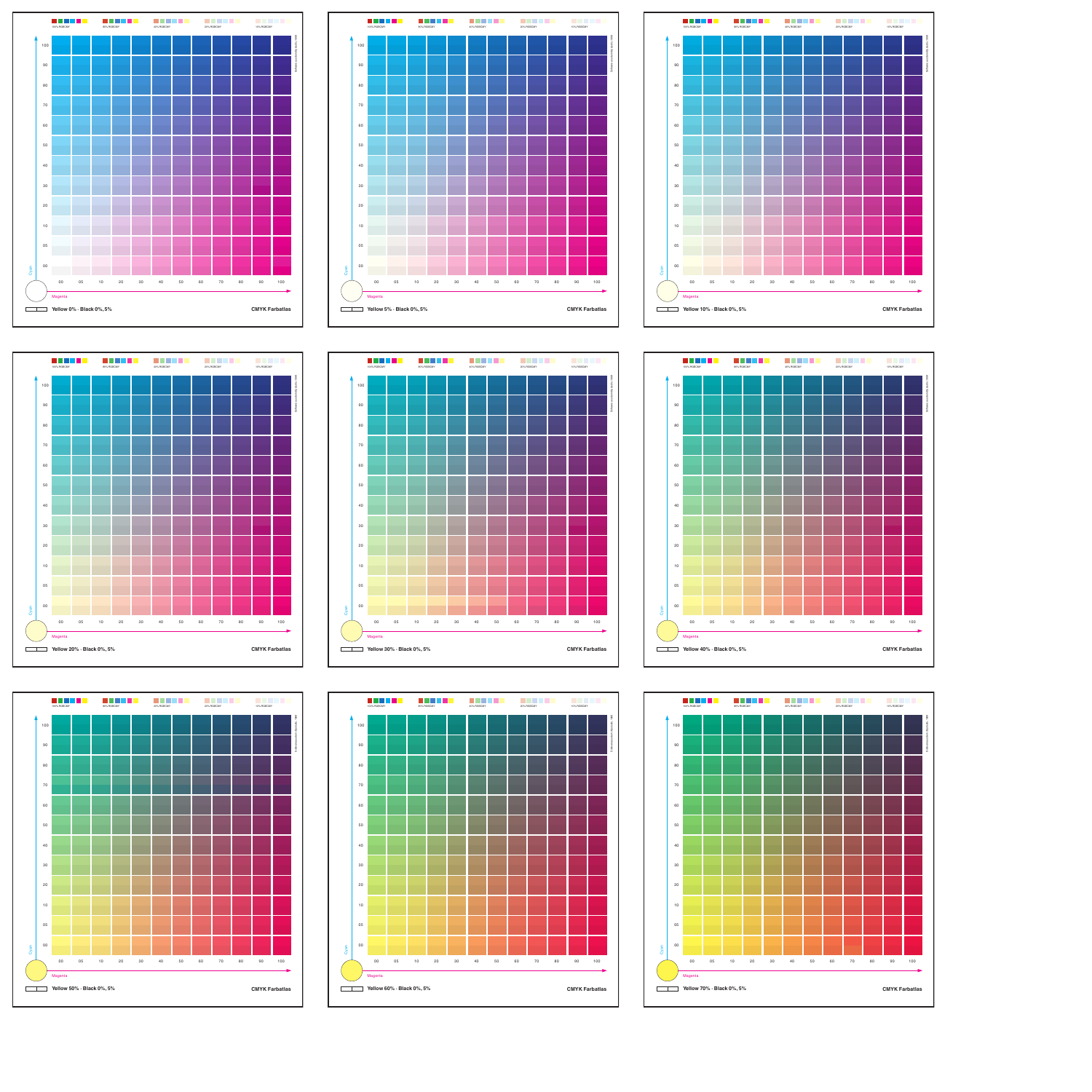

















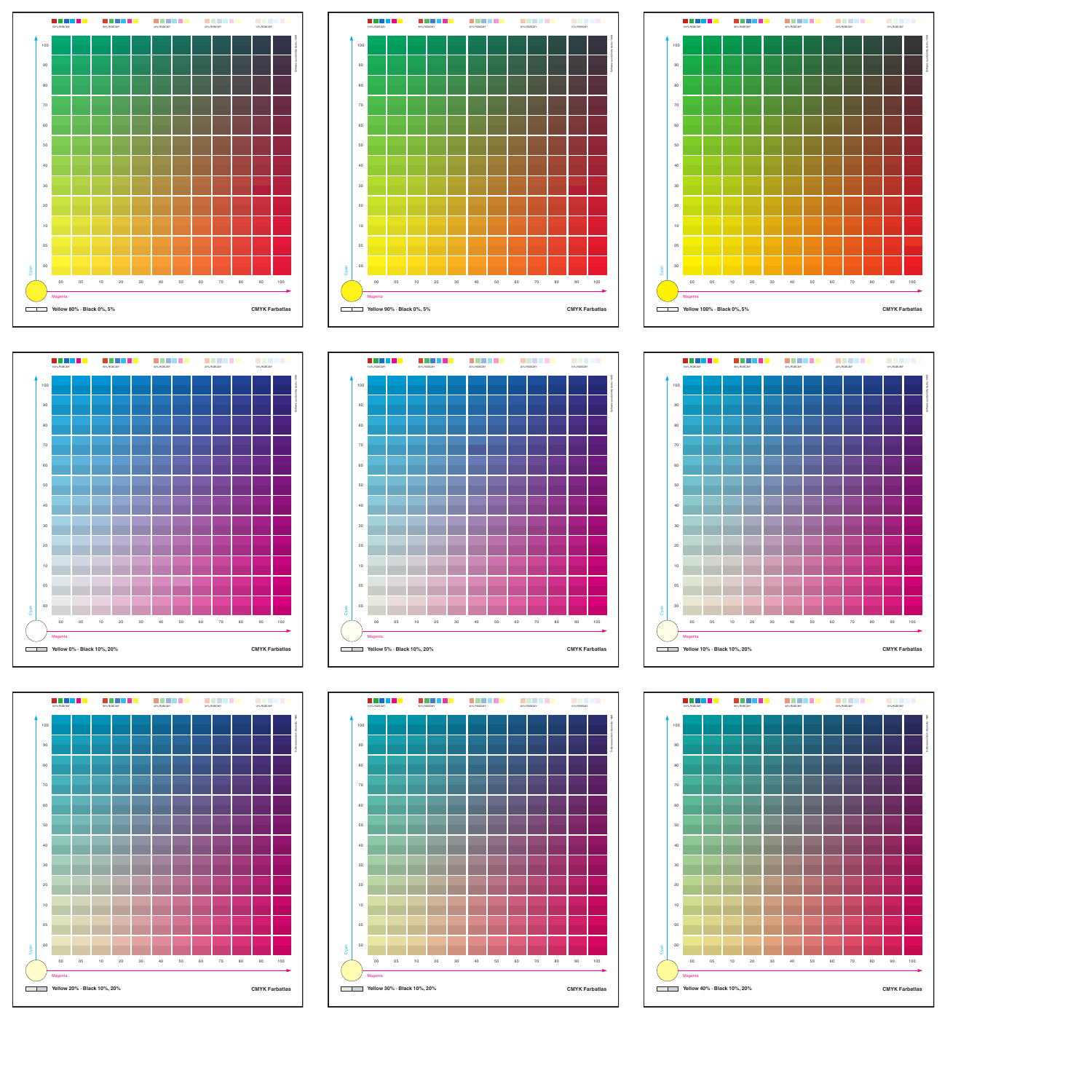







![](_page_1_Figure_4.jpeg)

![](_page_1_Figure_5.jpeg)

![](_page_1_Figure_6.jpeg)

![](_page_1_Figure_7.jpeg)

![](_page_1_Figure_8.jpeg)

![](_page_1_Figure_9.jpeg)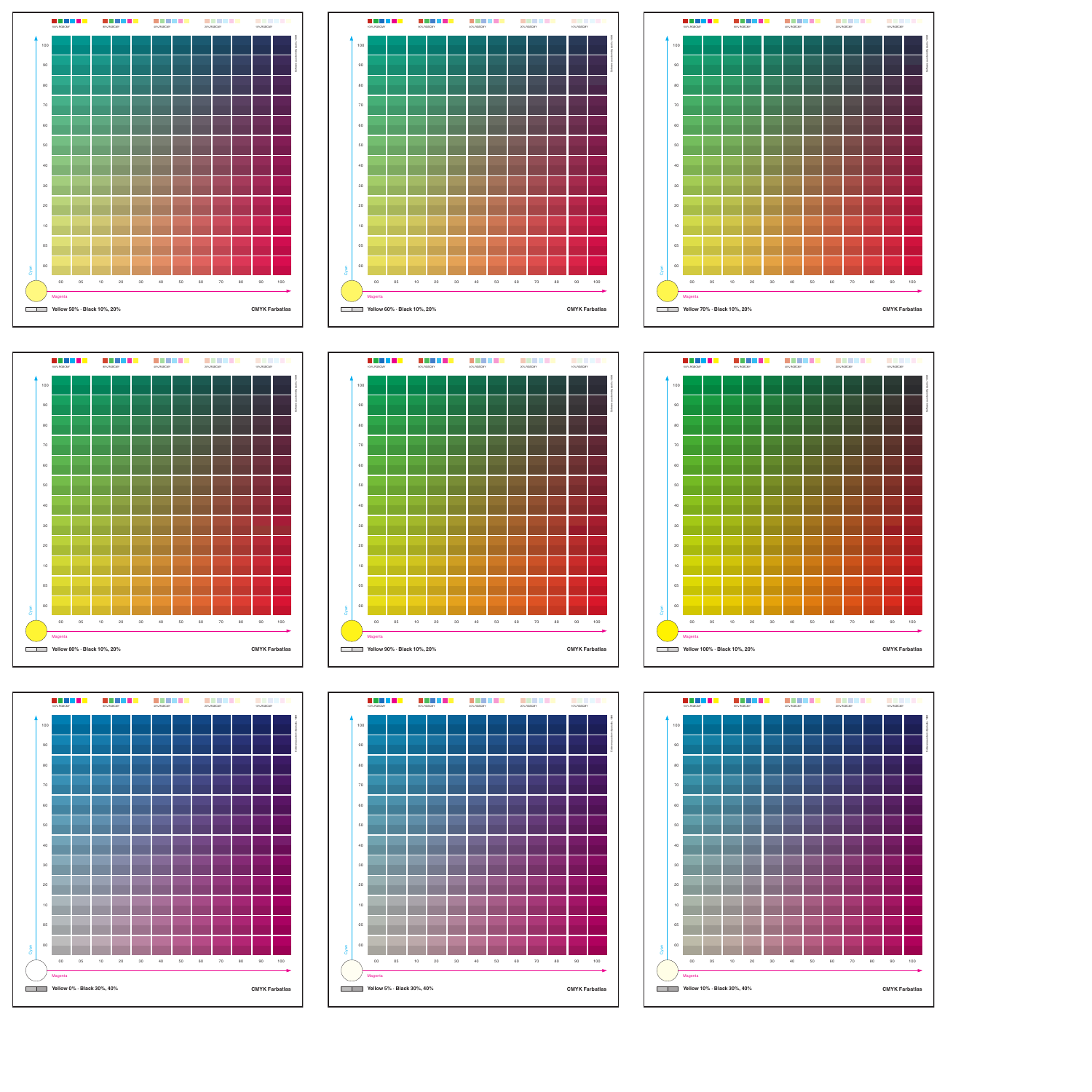![](_page_2_Figure_0.jpeg)

![](_page_2_Figure_1.jpeg)

![](_page_2_Figure_2.jpeg)

![](_page_2_Figure_3.jpeg)

![](_page_2_Figure_4.jpeg)

![](_page_2_Figure_6.jpeg)

![](_page_2_Figure_5.jpeg)

![](_page_2_Figure_7.jpeg)

![](_page_2_Figure_8.jpeg)

![](_page_2_Figure_9.jpeg)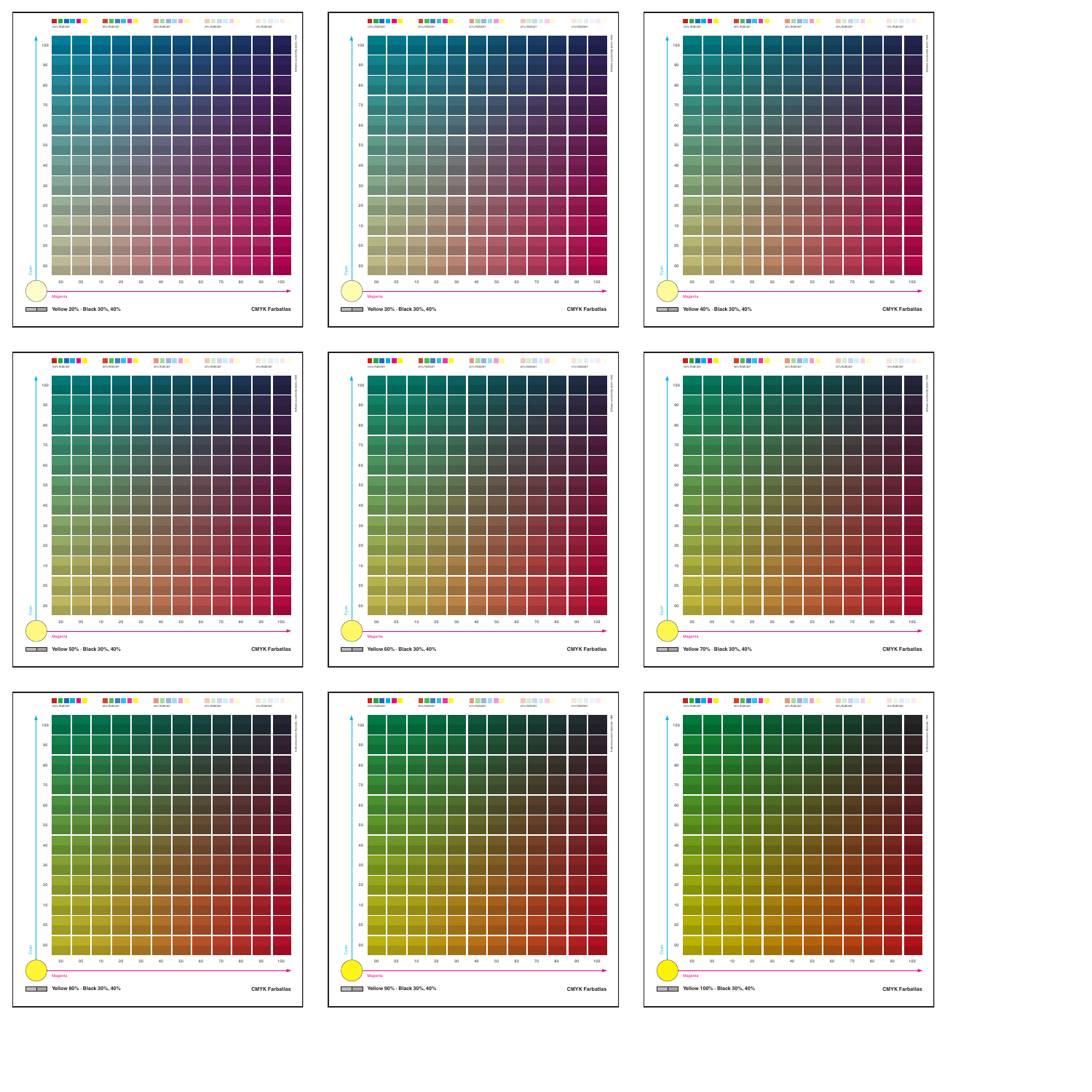![](_page_3_Figure_0.jpeg)

![](_page_3_Figure_1.jpeg)

![](_page_3_Figure_2.jpeg)

![](_page_3_Figure_3.jpeg)

![](_page_3_Figure_4.jpeg)

![](_page_3_Figure_5.jpeg)

![](_page_3_Figure_6.jpeg)

![](_page_3_Figure_7.jpeg)

![](_page_3_Figure_8.jpeg)

![](_page_3_Figure_9.jpeg)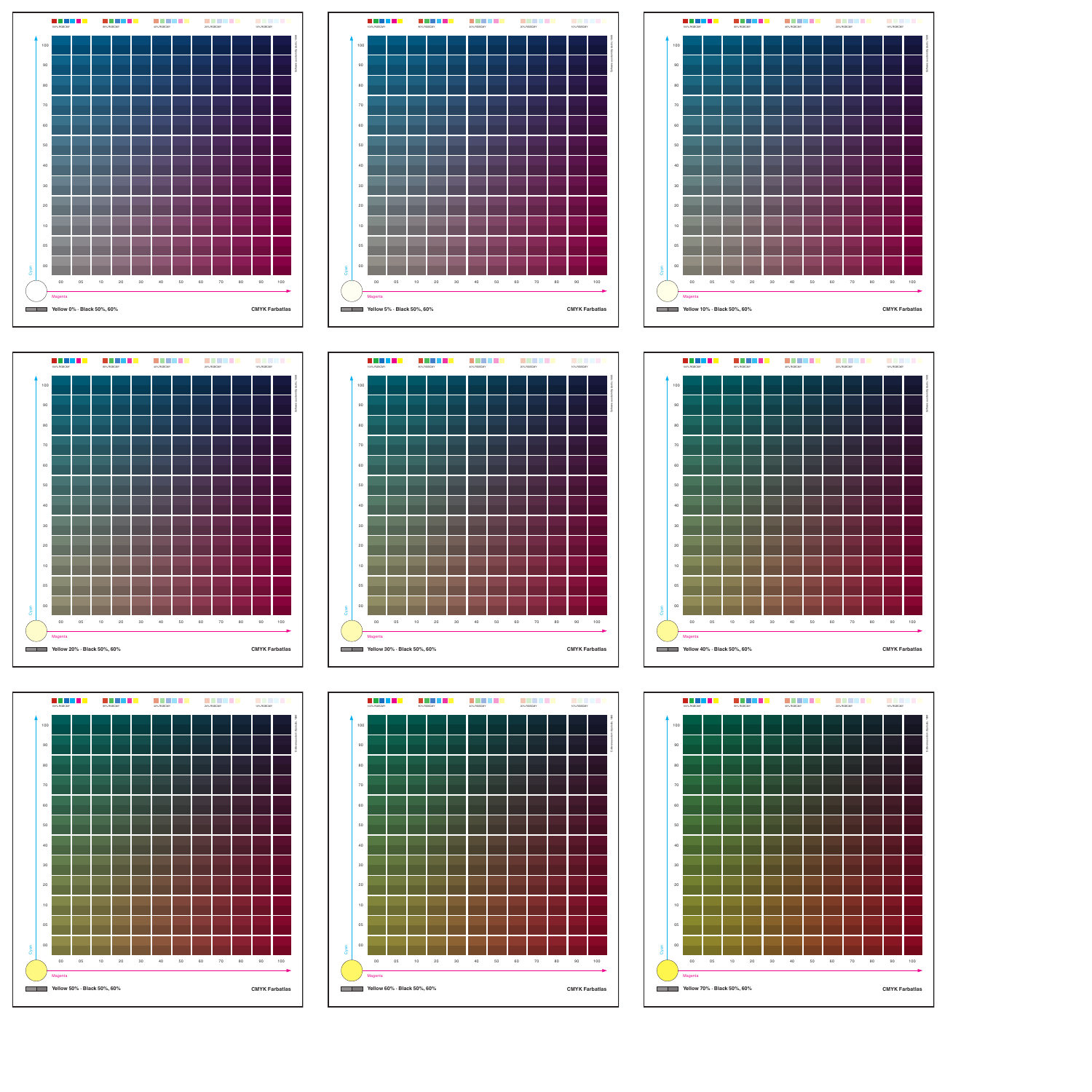![](_page_4_Figure_0.jpeg)

![](_page_4_Figure_1.jpeg)

![](_page_4_Figure_2.jpeg)

![](_page_4_Figure_3.jpeg)

![](_page_4_Figure_4.jpeg)

![](_page_4_Figure_6.jpeg)

![](_page_4_Figure_5.jpeg)

![](_page_4_Figure_7.jpeg)

![](_page_4_Figure_8.jpeg)

![](_page_4_Figure_9.jpeg)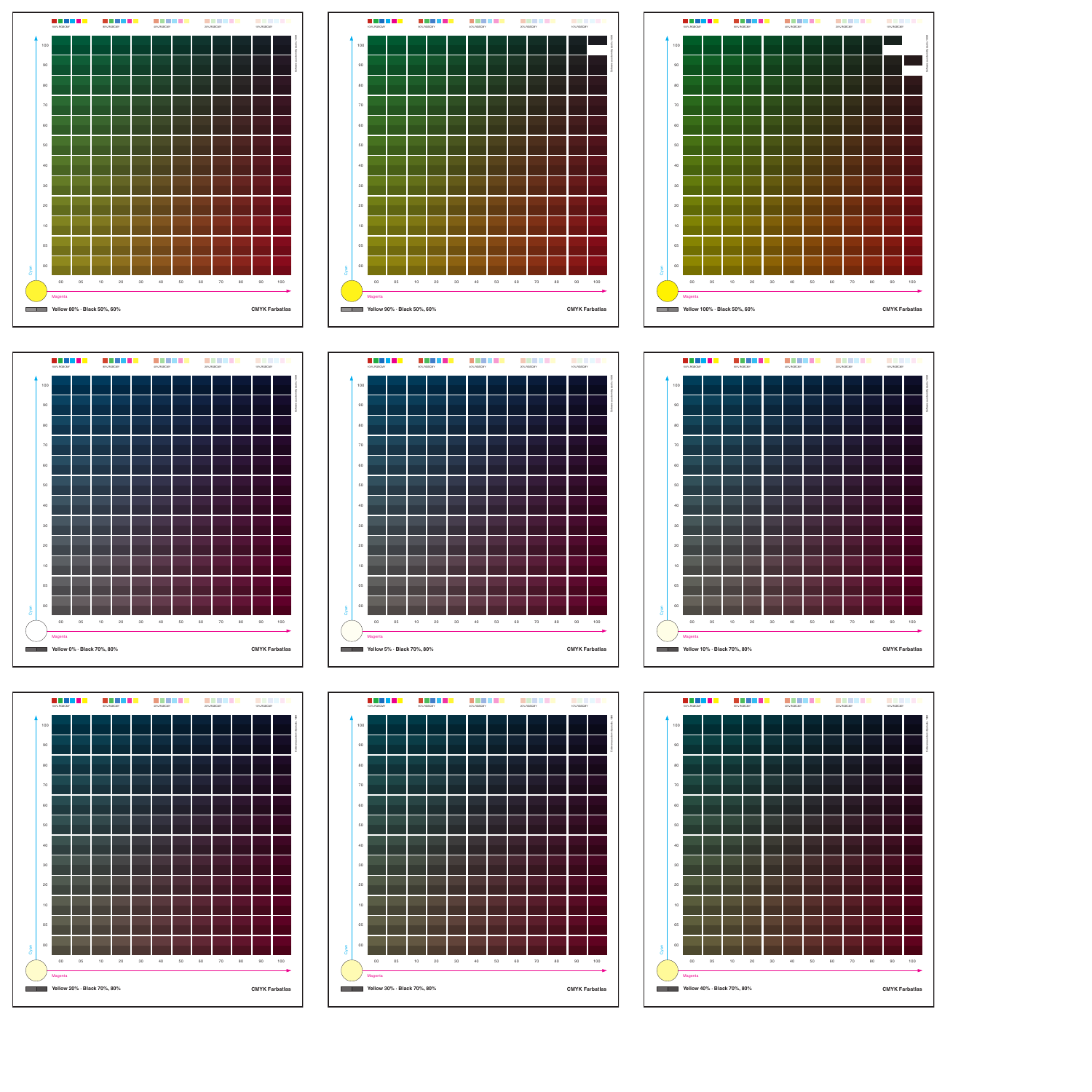![](_page_5_Figure_0.jpeg)

![](_page_5_Figure_1.jpeg)

![](_page_5_Figure_2.jpeg)

![](_page_5_Figure_3.jpeg)

![](_page_5_Figure_4.jpeg)

![](_page_5_Figure_6.jpeg)

![](_page_5_Figure_5.jpeg)

![](_page_5_Figure_7.jpeg)

![](_page_5_Figure_9.jpeg)

![](_page_5_Figure_8.jpeg)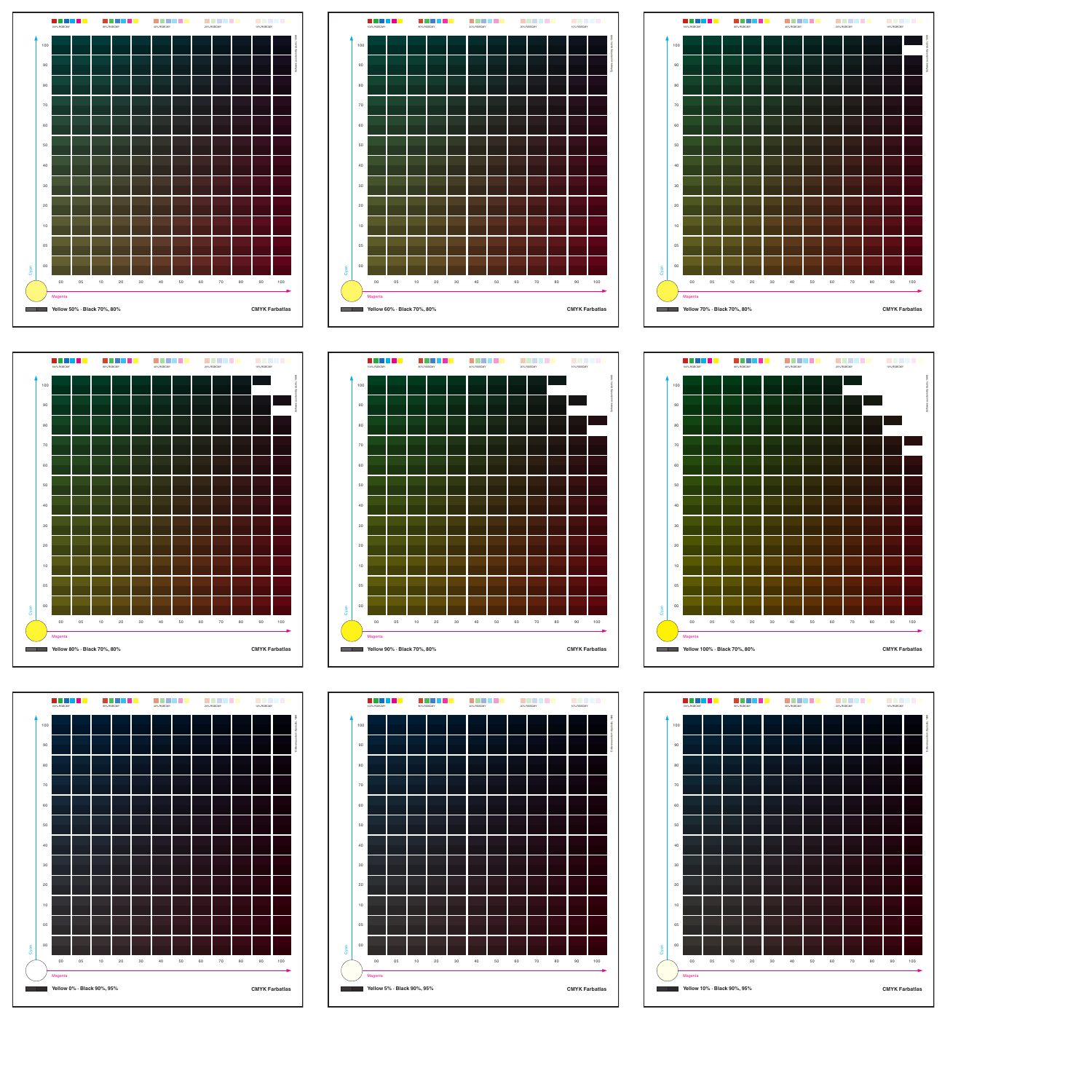![](_page_6_Figure_0.jpeg)

![](_page_6_Figure_1.jpeg)

![](_page_6_Figure_2.jpeg)

![](_page_6_Figure_3.jpeg)

![](_page_6_Figure_4.jpeg)

![](_page_6_Figure_5.jpeg)

![](_page_6_Figure_6.jpeg)

![](_page_6_Figure_7.jpeg)

![](_page_6_Figure_8.jpeg)